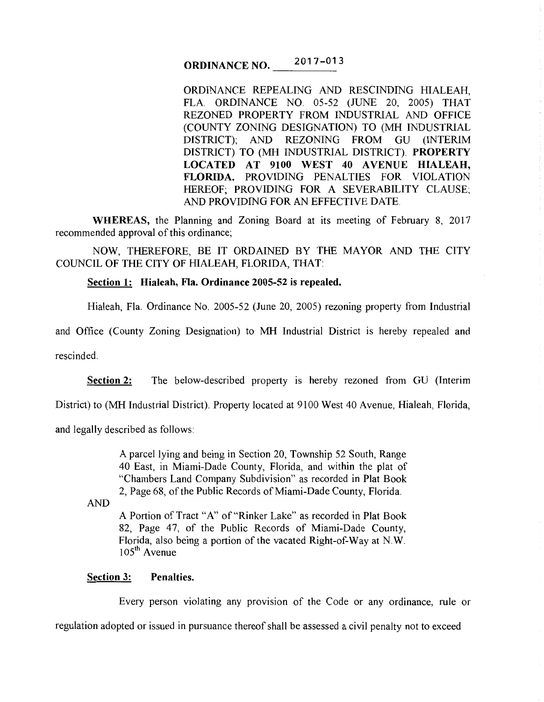#### ORDINANCE NO.  $017 - 013$

ORDINANCE REPEALING AND RESCINDING HIALEAH, FLA. ORDINANCE NO. 05-52 (JUNE 20, 2005) THAT REZONED PROPERTY FROM INDUSTRIAL AND OFFICE (COUNTY ZONING DESIGNATION) TO (MH INDUSTRIAL DISTRICT); AND REZONING FROM GU (INTERIM DISTRICT) TO (MH INDUSTRIAL DISTRICT). PROPERTY LOCATED AT 9100 WEST 40 AVENUE HIALEAH, FLORIDA. PROVIDING PENALTIES FOR VIOLATION HEREOF; PROVIDING FOR A SEVERABILITY CLAUSE; AND PROVIDING FOR AN EFFECTIVE DATE.

WHEREAS, the Planning and Zoning Board at its meeting of February 8, 2017 recommended approval of this ordinance;

NOW, THEREFORE, BE IT ORDAINED BY THE MAYOR AND THE CITY COUNCIL OF THE CITY OF HIALEAH, FLORIDA, THAT:

## Section 1: Hialeah, Fla. Ordinance 2005-52 is repealed.

Hialeah, Fla. Ordinance No. 2005-52 (June 20, 2005) rezoning property from Industrial

and Office (County Zoning Designation) to MH Industrial District is hereby repealed and

rescinded.

Section 2: The below-described property is hereby rezoned from GU (Interim

District) to (MH Industrial District). Property located at 9100 West 40 Avenue, Hialeah, Florida,

and legally described as follows:

A parcel lying and being in Section 20, Township 52 South, Range 40 East, in Miami-Dade County, Florida, and within the plat of "Chambers Land Company Subdivision" as recorded in Plat Book 2, Page 68, of the Public Records of Miami-Dade County, Florida.

AND

A Portion of Tract "A" of "Rinker Lake" as recorded in Plat Book 82, Page 47, of the Public Records of Miami-Dade County, Florida, also being a portion of the vacated Right-of-Way at N.W. 105<sup>th</sup> Avenue

# Section 3: Penalties.

Every person violating any provision of the Code or any ordinance, rule or

regulation adopted or issued in pursuance thereof shall be assessed a civil penalty not to exceed